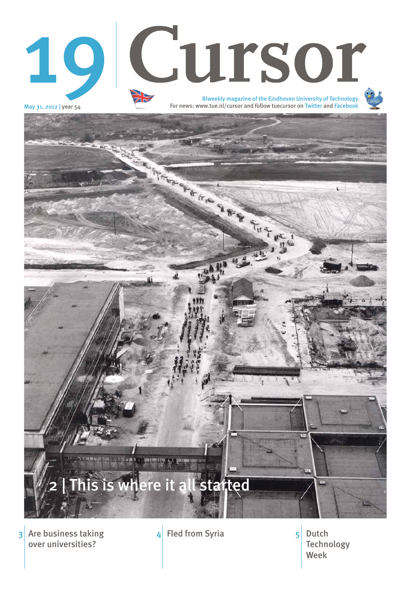May 31, 2012 | year 54

 $3$  Are business taking  $4$  Fled from Syria  $5$  Dutch over universities?

**Technology** Week 5



# Biweekly magazine of the Eindhoven University of Technology 19 Cursor



For news: www.tue.nl/cursor and follow tuecursor on Twitter and Facebook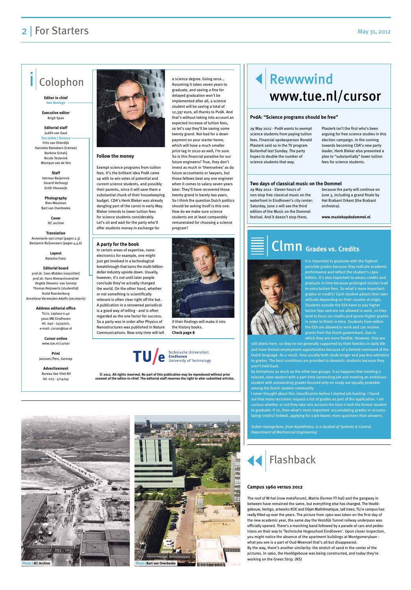### **Follow the money**

Exempt science programs from tuition fees. It's the brilliant idea PvdA came up with to win votes of potential and current science students, and possibly their parents, since it will save them a substantial chunk of their housekeeping budget. CDA's Henk Bleker was already dangling part of the carrot in early May. Bleker intends to lower tuition fees for science students considerably. Let's sit and wait for the party who'll offer students money in exchange for

a science degree. Going once… Assuming it takes seven years to graduate, and seeing a fine for delayed graduation won't be implemented after all, a science student will be saving a total of 12,397 euro, all thanks to PvdA. And that's without taking into account an expected increase of tuition fees, so let's say they'll be saving some twenty grand. Not bad for a down payment on your starter home, which will have a much smaller price tag in 2020 as well, I'm sure. So is this financial paradise for our future engineers? True, they don't invest as much in 'themselves' as do future accountants or lawyers, but those fellows beat any one engineer when it comes to salary seven years later. They'll have recovered those twenty grand in barely two years. So I think the question Dutch politics should be asking itself is this one: How do we make sure science students are at least comparably remunerated for choosing a science



program?

## **2** | For Starters May 31, 2012

# Colophon

**Editor in chief Han Konings**

**Executive editor**  Brigit Span

### **Editorial staff** Judith van Gaal

**Tom Jeltes | Science** Frits van Otterdijk Hanneke Ramakers (trainee) Norbine Schalij Nicole Testerink Monique van de Ven

#### **Staff**  Herman Beijerinck Gerard Verhoogt Enith Vlooswijk

**Photography**  Rien Meulman Bart van Overbeeke

> **Cover** IEC archive

#### **Translation** Annemarie van Limpt (pages 2,3) Benjamin Ruijsenaars (pages 4,5,6)

**Layout** Natasha Franc

### **Editorial board**

prof.dr. Cees Midden (voorzitter) prof.dr. Hans Niemantsverdriet Angela Stevens- van Gennip Thomas Reijnaerts (studentlid) Arold Roestenburg Anneliese Vermeulen-Adolfs (secretaris)

#### **Address editorial office**

TU/e, Laplace 0.40 5600 MB Eindhoven tel. 040 - 2474020, e-mail: cursor@tue.nl

**Cursor online** www.tue.nl/cursor

**Print** Janssen/Pers, Gennep

**Advertisement** Bureau Van Vliet BV tel. 023 - 5714745



**© 2012. All rights reserved. No part of this publication may be reproduced without prior consent of the editor-in-chief. The editorial staff reserves the right to alter submitted articles.**



#### **A party for the book**

In certain areas of expertise, nanoelectronics for example, one might just get involved in a technological breakthrough that turns the multi-billiondollar industry upside down. Usually, however, it's not until later people conclude they've actually changed the world. On the other hand, whether or not something is scientifically relevant is often clear right off the bat. A publication in a renowned periodical is a good way of telling - and is often regarded as the one factor for success. So a party was in order after Physics of Nanostructures was published in Nature Communications. Now only time will tell



if their findings will make it into the history books. **Check page 8**

www.tue.nl/cursor

Rewwwind

science students from paying tuition fees. Financial spokesperson Ronald Plasterk said so in the TV program Buitenhof last Sunday. The party hopes to double the number of science students that way.

Plasterk isn't the first who's been arguing for free science studies in this election campaign. In the running towards becoming CDA's new party leader, Henk Bleker also presented a plan to "substantially" lower tuition fees for science students.

# 29 May 2012 - PvdA wants to exempt **PvdA: "Science programs should be free"**

29 May 2012 - Eleven hours of non-stop free classical music on the waterfront in Eindhoven's city center: Saturday, June 2 will see the third edition of the Music on the Dommel festival. And it doesn't stop there,

because the party will continue on June 3, including a grand finale by Het Brabant Orkest (the Brabant orchestra).

**www.muziekopdedommel.nl**

### **Two days of classical music on the Dommel**

It is important to graduate with the highest possible grades because they indicate academic performance and reflect the student's capabilities. It's also important to amass credits and graduate in time because prolonged studies lead to extra tuition fees. So what's more important: grades or credits? Each student adopts their own attitude depending on their country of origin. Students outside the EEA have to pay higher tuition fees and are not allowed to work, so they tend to focus on credits and ignore higher grades in order to finish in time. Students from within the EEA are allowed to work and can receive grants from the Dutch government, due to which they are more flexible. However, they are

still aliens here, so they're not generally supported by their families in daily life and have limited employment opportunities because of a limited command of the Dutch language. As a result, they usually both study longer and pay less attention to grades. The best conditions are provided to domestic students because they aren't held back

by limitations as much as the other two groups. It so happens that meeting a relaxed, slow student with a part-time bartending job and meeting an ambitious student with outstanding grades focused only on study are equally probable among the Dutch student community.

I never thought about this classification before I started job hunting. I found out that many recruiters request a list of grades as part of the application. I am curious whether or not they take into account the time it took the former student to graduate. If so, then what's more important: accumulating grades or accumulating credits? Indeed, applying for a job leaves more questions than answers.

*Sultan Imangaliyev, from Kazakhstan, is a student of Systems & Control, Department of Mechanical Engineering*

# Clmn **Grades vs. Credits**



The roof of W-hal (now metaForum), Matrix (former FT-hal) and the gangway in between have remained the same, but everything else has changed. The Hoofdgebouw, Vertigo, artworks KOE and Objet Mathématique, tall trees; TU/e campus has really filled up over the years. The picture from 1960 was taken on the first day of the new academic year, the same day the Vestdijk Tunnel railway underpass was officially opened. There's a marching band followed by a parade of cars and pedestrians on their way to 'Technische Hogeschool Eindhoven'. Upon closer inspection, you might notice the absence of the apartment buildings at Montgomerylaan what you see is a part of Oud-Woensel that's all but disappeared. By the way, there's another similarity: the stretch of sand in the center of the pictures. In 1960, the Hoofdgebouw was being constructed, and today they're working on the Green Strip. (NS)

### **Campus 1960 versus 2012**





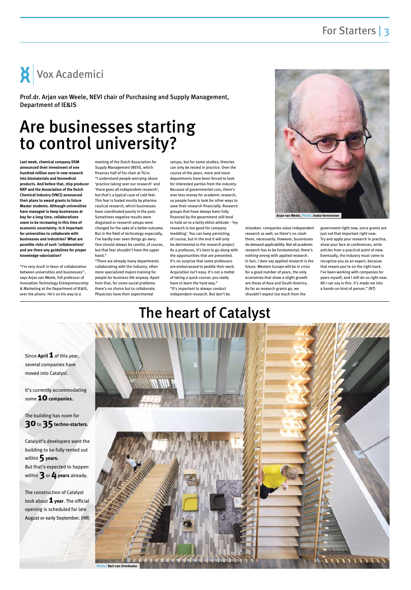# The heart of Catalyst



It's currently accommodating some **10** companies.

The building has room for **30** to 35 techno-starters.

Since **April 1** of this year, several companies have moved into Catalyst.

Catalyst's developers want the building to be fully rented out within **5years.** But that's expected to happen within **3** or **4years** already.

The construction of Catalyst took about **1 year**. The official opening is scheduled for late August or early September. (HR)

# Are businesses starting to control university?

**Last week, chemical company DSM announced their investment of one hundred million euro in new research into biomaterials and biomedical products. And before that, chip producer NXP and the Association of the Dutch Chemical Industry (VNCI) announced their plans to award grants to future Master students. Although universities have managed to keep businesses at bay for a long time, collaborations seem to be increasing in this time of economic uncertainty. Is it important for universities to collaborate with businesses and industries? What are possible risks of such 'collaborations' and are there any guidelines for proper knowledge valorization?**

"I'm very much in favor of collaboration between universities and businesses", says Arjan van Weele, full professor of Innovation Technology Entrepreneurship & Marketing at the Department of IE&IS, over the phone. He's on his way to a

meeting of the Dutch Association for Supply Management (NEVI), which finances half of his chair at TU/e. "I understand people worrying about 'practice taking over our research' and 'there goes all independent research', but that's a typical case of cold feet. This fear is fueled mostly by pharmaceutical research, which businesses have coordinated poorly in the past. Sometimes negative results were disguised or research setups were changed for the sake of a better outcome. But in the field of technology especially, I've hardly ever seen things go awry. One should always be careful, of course, but that fear shouldn't have the upper hand."

"There are already many departments collaborating with the industry, often more specialized majors training for people for business life anyway. Apart from that, for some social problems there's no choice but to collaborate. Physicists have their experimental

setups, but for some studies, theories can only be tested in practice. Over the course of the years, more and more departments have been forced to look for interested parties from the industry. Because of governmental cuts, there's ever less money for academic research, so people have to look for other ways to save their research financially. Research groups that have always been fully financed by the government still tend to hold on to a fairly elitist attitude - 'my research is too good for company meddling'. You can keep persisting, of course, but in the end it will only be detrimental to the research project. As a professor, it's best to go along with the opportunities that are presented. It's no surprise that some professors are embarrassed to peddle their work. Acquisition isn't easy. It's not a matter of taking a quick course; you really have to learn the hard way." "It's important to always conduct independent research. But don't be

mistaken: companies value independent research as well, so there's no clash there, necessarily. However, businesses do demand applicability. Not all academic research has to be fundamental, there's nothing wrong with applied research. In fact, I dare say applied research is the future. Western Europe will be in crisis for a good number of years, the only economies that show a slight growth are those of Asia and South America. As far as research grants go, we shouldn't expect too much from the

government right now, since grants are just not that important right now. Try and apply your research in practice, show your face at conferences, write articles from a practical point of view. Eventually, the industry must come to recognize you as an expert, because that means you're on the right track. I've been working with companies for years myself, and I still do so right now. All I can say is this: it's made me into a hands-on kind of person." (NT)



Prof.dr. Arjan van Weele, NEVI chair of Purchasing and Supply Management, Department of IE&IS



**Arjan van Weele. Photo | Ineke Vernimmen**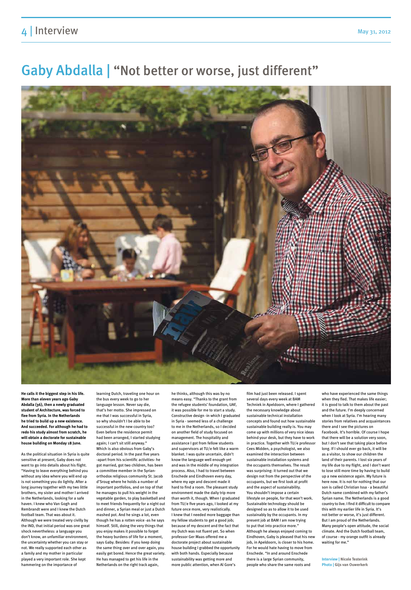# 4 Interview May 31, 2012

# Gaby Abdalla | "Not better or worse, just different"



**He calls it the biggest step in his life. More than eleven years ago Gaby Abdalla (36), then a newly graduated student of Architecture, was forced to flee from Syria. In the Netherlands he tried to build up a new existence. And succeeded. For although he had to redo his study almost from scratch, he will obtain a doctorate for sustainable house building on Monday 18 June.**

As the political situation in Syria is quite sensitive at present, Gaby does not want to go into details about his flight. "Having to leave everything behind you without any idea where you will end up is not something you do lightly. After a long journey together with my two little brothers, my sister and mother I arrived in the Netherlands, looking for a safe haven. I knew who Van Gogh and Rembrandt were and I knew the Dutch football team. That was about it. Although we were treated very civilly by the IND, that initial period was one great shock nevertheless: a language you don't know, an unfamiliar environment, the uncertainty whether you can stay or not. We really supported each other as a family and my mother in particular played a very important role. She kept hammering on the importance of

learning Dutch, traveling one hour on the bus every week to go to her language lesson. Never say die, that's her motto. She impressed on me that I was successful in Syria, so why shouldn't I be able to be successful in the new country too? Even before the residence permit had been arranged, I started studying again; I can't sit still anyway." Which is also obvious from Gaby's

doctoral period. In the past five years -apart from his scientific activities- he got married, got two children, has been a committee member in the Syrianorthodox religious community St. Jacob d'Sroug where he holds a number of important portfolios, and on top of that he manages to pull his weight in the vegetable garden, to play basketball and to meet friends frequently for a night out and dinner, a Syrian meal or just a Dutch mashed pot. And he sings a lot, even though he has a rotten voice -as he says himself. Still, doing the very things that you enjoy makes it possible to forget the heavy burdens of life for a moment, says Gaby. Besides: if you keep doing the same thing over and over again, you easily get bored. Hence the great variety. He has managed to get his life in the Netherlands on the right track again,

he thinks, although this was by no means easy. "Thanks to the grant from the refugee students' foundation, UAF, it was possible for me to start a study. Constructive design -in which I graduated in Syria - seemed less of a challenge to me in the Netherlands, so I decided on another field of study focused on management. The hospitality and assistance I got from fellow students and supervisors at TU/e felt like a warm

blanket. I was quite uncertain, didn't know the language well enough yet and was in the middle of my integration process. Also, I had to travel between Enschede and Eindhoven every day, where my age and descent made it hard to find a room. The pleasant study environment made the daily trip more than worth it, though. When I graduated from TU/e five years ago, I looked at my future once more, very realistically. I knew that I needed more baggage than my fellow students to get a good job; because of my descent and the fact that my Dutch was not fluent yet. So when professor Ger Maas offered me a doctorate project about sustainable house building I grabbed the opportunity with both hands. Especially because sustainability was getting more and more public attention, when Al Gore's

film had just been released. I spent several days every week at BAM Techniek in Apeldoorn, where I gathered the necessary knowledge about sustainable technical installation concepts and found out how sustainable sustainable building really is. You may come up with millions of very nice ideas behind your desk, but they have to work in practice. Together with TU/e professor Cees Midden, a psychologist, we also

examined the interaction between sustainable installation systems and the occupants themselves. The result was surprising: it turned out that we design not from the perspective of the occupants, but we first look at profit and the aspect of sustainability. You shouldn't impose a certain lifestyle on people, for that won't work. Sustainable technology should be designed so as to allow it to be used sustainably by the occupants. In my present job at BAM I am now trying to put that into practice more." Although he always enjoyed coming to Eindhoven, Gaby is pleased that his new job, in Apeldoorn, is closer to his home. For he would hate having to move from Enschede. "In and around Enschede there is a large Syrian community, people who share the same roots and

who have experienced the same things when they fled. That makes life easier; it is good to talk to them about the past and the future. I'm deeply concerned when I look at Syria. I'm hearing many stories from relatives and acquaintances there and I see the pictures on Facebook. It's horrible. Of course I hope that there will be a solution very soon, but I don't see that taking place before long. If I should ever go back, it will be as a visitor, to show our children the land of their parents. I lost six years of my life due to my flight, and I don't want to lose still more time by having to build up a new existence again. My future is here now. It is not for nothing that our son is called Christian Issa - a beautiful Dutch name combined with my father's Syrian name. The Netherlands is a good country to live. I find it difficult to compare this with my earlier life in Syria. It's not better or worse, it's just different. But I am proud of the Netherlands. Many people's open attitude, the social climate. And the Dutch football team, of course - my orange outfit is already waiting for me."

**Interview | Nicole Testerink Photo | Gijs van Ouwerkerk**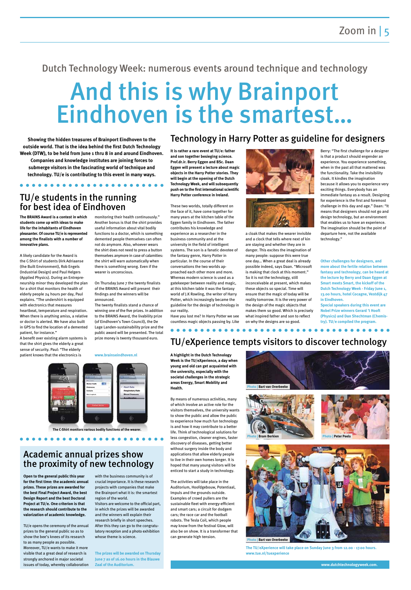# And this is why Brainport Eindhoven is the smartest…

### Dutch Technology Week: numerous events around technique and technology

**Showing the hidden treasures of Brainport Eindhoven to the outside world. That is the idea behind the first Dutch Technology Week (DTW), to be held from June 1 thru 8 in and around Eindhoven.** 

**Companies and knowledge institutes are joining forces to submerge visitors in the fascinating world of technique and technology. TU/e is contributing to this event in many ways.** **It is rather a rare event at TU/e: father and son together besieging science. Prof.dr.ir. Berry Eggen and BSc. Daan Eggen will present a lecture about magic objects in the Harry Potter stories. They will begin at the opening of the Dutch Technology Week, and will subsequently push on to the first international scientific Harry Potter conference in Ireland.**

These two worlds, totally different on the face of it, have come together for many years at the kitchen table of the Eggen family in Eindhoven. The father contributes his knowledge and experience as a researcher in the business community and at the university in the field of intelligent systems. The son is a fanatic devotee of the fantasy genre, Harry Potter in particular. In the course of their conversations the two worlds approached each other more and more. Whereas modern science is used as a gatekeeper between reality and magic, at this kitchen table it was the fantasy world of J.K Rowling, the writer of Harry Potter, which increasingly became the guideline for the design of technology in our reality.

Have you lost me? In Harry Potter we see countless magic objects passing by. Like





a cloak that makes the wearer invisible and a clock that tells where next of kin are staying and whether they are in danger. This excites the imagination of many people: suppose this were true one day… When a great deal is already possible indeed, says Daan. "Microsoft is making that clock at this moment." So it is not the technology, still inconceivable at present, which makes these objects so special. Time will ensure that the magic of today will be reality tomorrow. It is the very power of the design of the magic objects that makes them so good. Which is precisely what inspired father and son to reflect on why the designs are so good.

Berry: "The first challenge for a designer is that a product should engender an experience. You experience something, when in the past all that mattered was the functionality. Take the invisibility cloak. It kindles the imagination because it allows you to experience very exciting things. Everybody has an immediate fantasy as a result. Designing for experience is the first and foremost challenge in this day and age." Daan: "It means that designers should not go and design technology, but an environment that enables us to have an experience. The imagination should be the point of departure here, not the available technology."

**Other challenges for designers, and more about the fertile relation between fantasy and technology, can be heard at the lecture by Berry and Daan Eggen at Smart meets Smart, the kickoff of the Dutch Technology Week - Friday June 1, 13.00 hours, hotel Cocagne, Vestdijk 47 in Eindhoven.** 

**Special speakers during this event are Nobel Prize winners Gerard 't Hooft (Physics) and Dan Shechtman (Chemistry). TU/e compiled the program.** 

**The BRAINS Award is a contest in which students come up with ideas to make life for the inhabitants of Eindhoven pleasanter. Of course TU/e is represented among the finalists with a number of innovative plans.**

A likely candidate for the Award is the C-Shirt of students Dirk Adriaanse (the Built Environment), Rob Engels (Industrial Design) and Paul Helgers (Applied Physics). During an Entrepreneurship minor they developed the plan for a shirt that monitors the health of elderly people 24 hours per day, Paul explains. "The undershirt is equipped with electronics that measures heartbeat, temperature and respiration. When there is anything amiss, a relative or doctor is alerted. We have also built in GPS to find the location of a demented patient, for instance."

A benefit over existing alarm systems is that the shirt gives the elderly a great sense of security. Paul: "The elderly patient knows that the electronics is

monitoring their health continuously." Another bonus is that the shirt provides useful information about vital bodily functions to a doctor, which is something demented people themselves can often not do anymore. Also, whoever wears the shirt does not need to press a button themselves anymore in case of calamities: the shirt will warn automatically when there is something wrong. Even if the wearer is unconscious.

On Thursday June 7 the twenty finalists of the BRAINS Award will present their findings and the winners will be announced.

The twenty finalists stand a chance of winning one of the five prizes. In addition to the BRAINS Award, the livability prize (of Eindhoven's Town Council), the De Lage Landen-sustainability prize and the public award will be presented. The total prize money is twenty thousand euro.

#### **www.brainseindhoven.nl**

 $\bullet\bullet\bullet\bullet$ 



**Open to the general public this year for the first time: the academic annual prizes. These prizes are awarded for the best Final Project Award, the best Design Report and the best Doctoral Project at TU/e. One criterion is that the research should contribute to the valorization of academic knowledge.**

TU/e opens the ceremony of the annual prizes to the general public so as to show the bee's knees of its research to as many people as possible. Moreover, TU/e wants to make it more visible that a great deal of research is strongly anchored in major societal issues of today, whereby collaboration with the business community is of crucial importance. It is these research projects with companies that make the Brainport what it is: the smartest region of the world.

Visitors are welcome to the official part, in which the prizes will be awarded and the winners will explain their research briefly in short speeches. After this they can go to the congratulatory reception and a photo exhibition whose theme is science.

**The prizes will be awarded on Thursday June 7 as of 16.00 hours in the Blauwe Zaal of the Auditorium.** 

**A highlight in the Dutch Technology Week is the TU/eXperience, a day when young and old can get acquainted with the university, especially with the societal challenges in the strategic areas Energy, Smart Mobility and Health.**

By means of numerous activities, many of which involve an active role for the visitors themselves, the university wants to show the public and allow the public to experience how much fun technology is and how it may contribute to a better life. Think of technological solutions for less congestion, cleaner engines, faster discovery of diseases, getting better without surgery inside the body and

applications that allow elderly people to live in their own homes longer. It is hoped that many young visitors will be enticed to start a study in technology.

The activities will take place in the Auditorium, Hoofdgebouw, Potentiaal, Impuls and the grounds outside. Examples of crowd pullers are the sustainable fleet with energy-efficient and smart cars; a circuit for dodgem cars; the race car and the football robots. The Tesla Coil, which people may know from the festival Glow, will also be on show. It is a transformer that can generate high tension.

> **The TU/eXperience will take place on Sunday June 3 from 12.00 - 17.00 hours. www.tue.nl/tuexperience**

### Technology in Harry Potter as guideline for designers

## TU/e students in the running for best idea of Eindhoven

### Academic annual prizes show the proximity of new technology

 $\bullet\bullet\bullet\bullet\bullet\bullet$ 

# TU/eXperience tempts visitors to discover technology

**www.dutchtechnologyweek.com.** 

**The C-Shirt monitors various bodily functions of the wearer.**